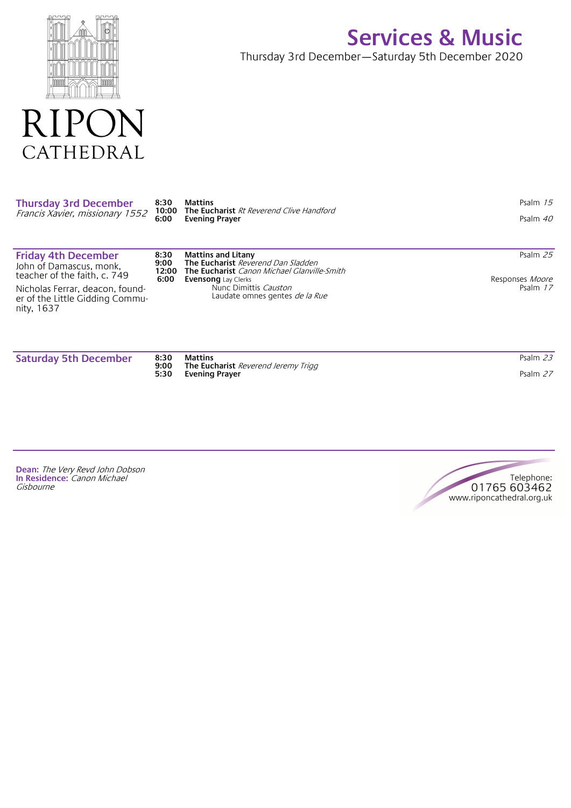

CATHEDRAL

R

## **Services & Music**

Thursday 3rd December—Saturday 5th December 2020

| <b>Thursday 3rd December</b><br>Francis Xavier, missionary 1552                       | 8:30<br>10:00<br>6:00         | <b>Mattins</b><br>The Eucharist Rt Reverend Clive Handford<br><b>Evening Prayer</b>                                                                 | Psalm $15$<br>Psalm 40      |
|---------------------------------------------------------------------------------------|-------------------------------|-----------------------------------------------------------------------------------------------------------------------------------------------------|-----------------------------|
| <b>Friday 4th December</b><br>John of Damascus, monk,<br>teacher of the faith, c. 749 | 8:30<br>9:00<br>12:00<br>6:00 | <b>Mattins and Litany</b><br>The Eucharist Reverend Dan Sladden<br><b>The Eucharist</b> Canon Michael Glanville-Smith<br><b>Evensong</b> Lay Clerks | Psalm 25<br>Responses Moore |
| Nicholas Ferrar, deacon, found-<br>er of the Little Gidding Commu-<br>nity, 1637      |                               | Nunc Dimittis Causton<br>Laudate omnes gentes <i>de la Rue</i>                                                                                      | Psalm 17                    |

**Saturday 5th December 8:30**

**9:00 5:30 Mattins The Eucharist** Reverend Jeremy Trigg **Evening Prayer**

Psalm 23 Psalm <sup>27</sup>

**Dean:** The Very Revd John Dobson **In Residence:** Canon Michael **Gisbourne** 

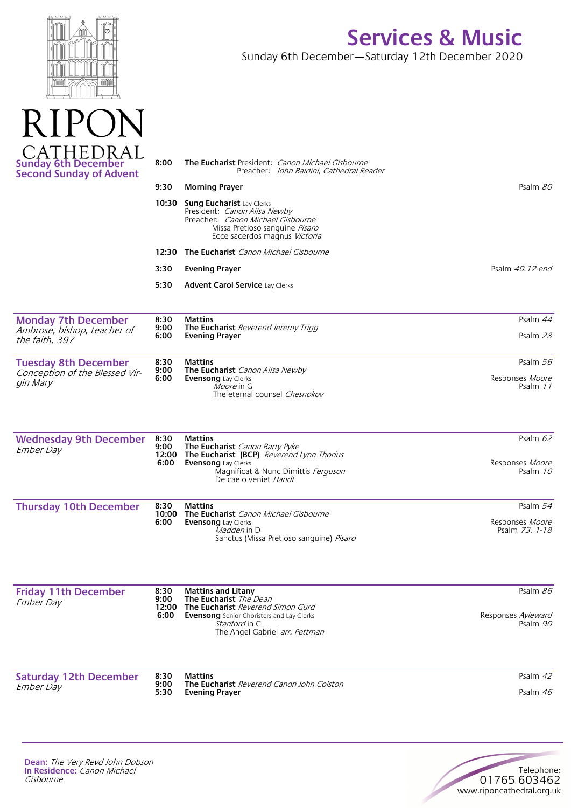| D<br>8 |  |  |
|--------|--|--|
|        |  |  |

RIPO

## **Services & Music**

Sunday 6th December—Saturday 12th December 2020

| <b>IHEDRAI</b><br><b>Sunday 6th December<br/>Second Sunday of Advent</b> | 8:00          | <b>The Eucharist</b> President: <i>Canon Michael Gisbourne</i><br>Preacher: John Baldini, Cathedral Reader                                                                      |                                   |
|--------------------------------------------------------------------------|---------------|---------------------------------------------------------------------------------------------------------------------------------------------------------------------------------|-----------------------------------|
|                                                                          | 9:30          | <b>Morning Prayer</b>                                                                                                                                                           | Psalm 80                          |
|                                                                          | 10:30         | <b>Sung Eucharist Lay Clerks</b><br>President: Canon Ailsa Newby<br>Preacher: <i>Canon Michael Gisbourne</i><br>Missa Pretioso sanguine Pisaro<br>Ecce sacerdos magnus Victoria |                                   |
|                                                                          |               | 12:30 The Eucharist Canon Michael Gisbourne                                                                                                                                     |                                   |
|                                                                          | 3:30          | <b>Evening Prayer</b>                                                                                                                                                           | Psalm 40.12-end                   |
|                                                                          | 5:30          | <b>Advent Carol Service Lay Clerks</b>                                                                                                                                          |                                   |
| <b>Monday 7th December</b><br>Ambrose, bishop, teacher of                | 8:30<br>9:00  | <b>Mattins</b><br>The Eucharist Reverend Jeremy Trigg                                                                                                                           | Psalm 44                          |
| the faith, 397                                                           | 6:00          | <b>Evening Prayer</b>                                                                                                                                                           | Psalm 28                          |
| <b>Tuesday 8th December</b>                                              | 8:30          | <b>Mattins</b>                                                                                                                                                                  | Psalm 56                          |
| Conception of the Blessed Vir-<br>gin Mary                               | 9:00<br>6:00  | The Eucharist Canon Ailsa Newby<br>Evensong Lay Clerks<br><i>Moore</i> in G<br>The eternal counsel Chesnokov                                                                    | Responses Moore<br>Psalm 11       |
| <b>Wednesday 9th December</b>                                            | 8:30          | <b>Mattins</b>                                                                                                                                                                  | Psalm 62                          |
| <b>Ember Day</b>                                                         | 9:00<br>6:00  | The Eucharist Canon Barry Pyke<br>12:00 The Eucharist (BCP) Reverend Lynn Thorius<br><b>Evensong</b> Lay Clerks<br>Magnificat & Nunc Dimittis Ferguson<br>De caelo veniet Handl | Responses Moore<br>Psalm 10       |
| <b>Thursday 10th December</b>                                            | 8:30          | <b>Mattins</b>                                                                                                                                                                  | Psalm 54                          |
|                                                                          | 10:00<br>6:00 | The Eucharist Canon Michael Gisbourne<br><b>Evensong</b> Lay Clerks<br><i>Madden</i> in D<br>Sanctus (Missa Pretioso sanguine) Pisaro                                           | Responses Moore<br>Psalm 73. 1-18 |
| <b>Friday 11th December</b>                                              | 8:30          | <b>Mattins and Litany</b>                                                                                                                                                       | Psalm 86                          |
| <b>Ember Day</b>                                                         | 9:00<br>6:00  | The Eucharist The Dean<br>12:00 The Eucharist Reverend Simon Gurd<br><b>Evensong</b> Senior Choristers and Lay Clerks<br><i>Stanford</i> in C<br>The Angel Gabriel arr. Pettman | Responses Ayleward<br>Psalm 90    |
| <b>Saturday 12th December</b>                                            | 8:30          | <b>Mattins</b>                                                                                                                                                                  | Psalm 42                          |
| Ember Day                                                                | 9:00<br>5:30  | The Eucharist Reverend Canon John Colston<br><b>Evening Prayer</b>                                                                                                              | Psalm $46$                        |